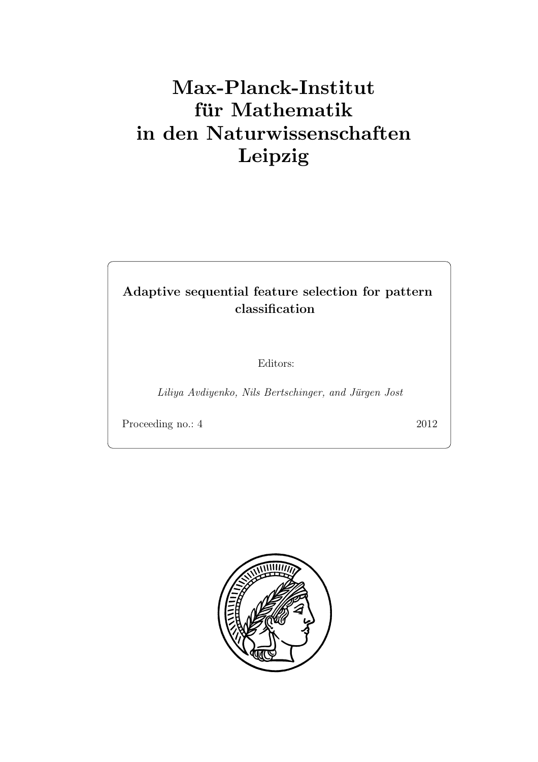# Max-Planck-Institut für Mathematik in den Naturwissenschaften Leipzig

# Adaptive sequential feature selection for pattern classification

Editors:

Liliya Avdiyenko, Nils Bertschinger, and Jürgen Jost

Proceeding no.: 4 2012

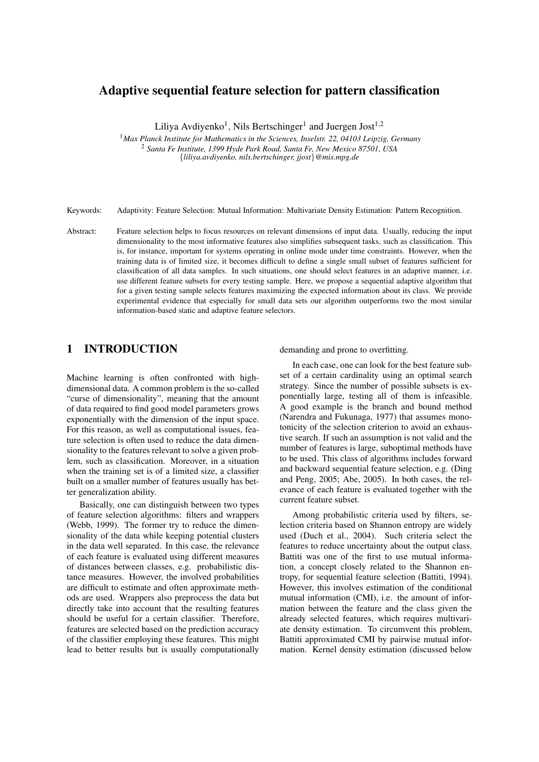# Adaptive sequential feature selection for pattern classification

Liliya Avdiyenko<sup>1</sup>, Nils Bertschinger<sup>1</sup> and Juergen Jost<sup>1,2</sup>

<sup>1</sup>*Max Planck Institute for Mathematics in the Sciences, Inselstr. 22, 04103 Leipzig, Germany* <sup>2</sup> *Santa Fe Institute, 1399 Hyde Park Road, Santa Fe, New Mexico 87501, USA* {*liliya.avdiyenko, nils.bertschinger, jjost*}*@mis.mpg.de*

Keywords: Adaptivity: Feature Selection: Mutual Information: Multivariate Density Estimation: Pattern Recognition.

Abstract: Feature selection helps to focus resources on relevant dimensions of input data. Usually, reducing the input dimensionality to the most informative features also simplifies subsequent tasks, such as classification. This is, for instance, important for systems operating in online mode under time constraints. However, when the training data is of limited size, it becomes difficult to define a single small subset of features sufficient for classification of all data samples. In such situations, one should select features in an adaptive manner, i.e. use different feature subsets for every testing sample. Here, we propose a sequential adaptive algorithm that for a given testing sample selects features maximizing the expected information about its class. We provide experimental evidence that especially for small data sets our algorithm outperforms two the most similar information-based static and adaptive feature selectors.

# 1 INTRODUCTION

Machine learning is often confronted with highdimensional data. A common problem is the so-called "curse of dimensionality", meaning that the amount of data required to find good model parameters grows exponentially with the dimension of the input space. For this reason, as well as computational issues, feature selection is often used to reduce the data dimensionality to the features relevant to solve a given problem, such as classification. Moreover, in a situation when the training set is of a limited size, a classifier built on a smaller number of features usually has better generalization ability.

Basically, one can distinguish between two types of feature selection algorithms: filters and wrappers (Webb, 1999). The former try to reduce the dimensionality of the data while keeping potential clusters in the data well separated. In this case, the relevance of each feature is evaluated using different measures of distances between classes, e.g. probabilistic distance measures. However, the involved probabilities are difficult to estimate and often approximate methods are used. Wrappers also preprocess the data but directly take into account that the resulting features should be useful for a certain classifier. Therefore, features are selected based on the prediction accuracy of the classifier employing these features. This might lead to better results but is usually computationally

demanding and prone to overfitting.

In each case, one can look for the best feature subset of a certain cardinality using an optimal search strategy. Since the number of possible subsets is exponentially large, testing all of them is infeasible. A good example is the branch and bound method (Narendra and Fukunaga, 1977) that assumes monotonicity of the selection criterion to avoid an exhaustive search. If such an assumption is not valid and the number of features is large, suboptimal methods have to be used. This class of algorithms includes forward and backward sequential feature selection, e.g. (Ding and Peng, 2005; Abe, 2005). In both cases, the relevance of each feature is evaluated together with the current feature subset.

Among probabilistic criteria used by filters, selection criteria based on Shannon entropy are widely used (Duch et al., 2004). Such criteria select the features to reduce uncertainty about the output class. Battiti was one of the first to use mutual information, a concept closely related to the Shannon entropy, for sequential feature selection (Battiti, 1994). However, this involves estimation of the conditional mutual information (CMI), i.e. the amount of information between the feature and the class given the already selected features, which requires multivariate density estimation. To circumvent this problem, Battiti approximated CMI by pairwise mutual information. Kernel density estimation (discussed below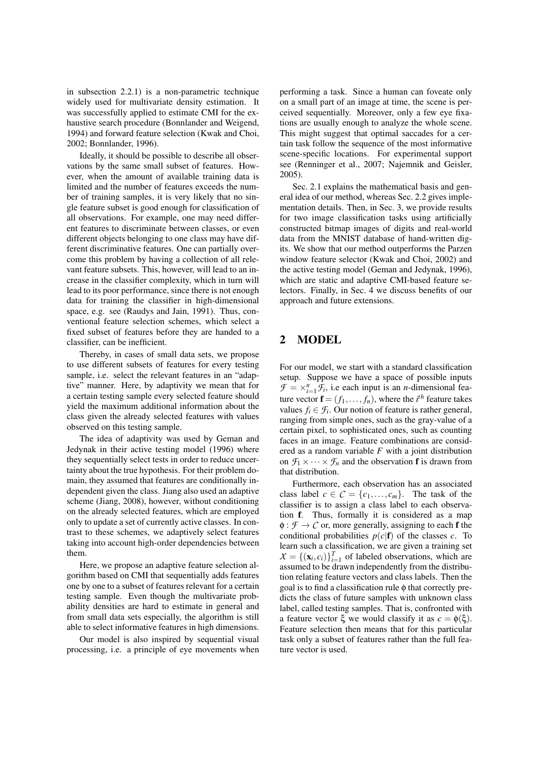in subsection 2.2.1) is a non-parametric technique widely used for multivariate density estimation. It was successfully applied to estimate CMI for the exhaustive search procedure (Bonnlander and Weigend, 1994) and forward feature selection (Kwak and Choi, 2002; Bonnlander, 1996).

Ideally, it should be possible to describe all observations by the same small subset of features. However, when the amount of available training data is limited and the number of features exceeds the number of training samples, it is very likely that no single feature subset is good enough for classification of all observations. For example, one may need different features to discriminate between classes, or even different objects belonging to one class may have different discriminative features. One can partially overcome this problem by having a collection of all relevant feature subsets. This, however, will lead to an increase in the classifier complexity, which in turn will lead to its poor performance, since there is not enough data for training the classifier in high-dimensional space, e.g. see (Raudys and Jain, 1991). Thus, conventional feature selection schemes, which select a fixed subset of features before they are handed to a classifier, can be inefficient.

Thereby, in cases of small data sets, we propose to use different subsets of features for every testing sample, i.e. select the relevant features in an "adaptive" manner. Here, by adaptivity we mean that for a certain testing sample every selected feature should yield the maximum additional information about the class given the already selected features with values observed on this testing sample.

The idea of adaptivity was used by Geman and Jedynak in their active testing model (1996) where they sequentially select tests in order to reduce uncertainty about the true hypothesis. For their problem domain, they assumed that features are conditionally independent given the class. Jiang also used an adaptive scheme (Jiang, 2008), however, without conditioning on the already selected features, which are employed only to update a set of currently active classes. In contrast to these schemes, we adaptively select features taking into account high-order dependencies between them.

Here, we propose an adaptive feature selection algorithm based on CMI that sequentially adds features one by one to a subset of features relevant for a certain testing sample. Even though the multivariate probability densities are hard to estimate in general and from small data sets especially, the algorithm is still able to select informative features in high dimensions.

Our model is also inspired by sequential visual processing, i.e. a principle of eye movements when

performing a task. Since a human can foveate only on a small part of an image at time, the scene is perceived sequentially. Moreover, only a few eye fixations are usually enough to analyze the whole scene. This might suggest that optimal saccades for a certain task follow the sequence of the most informative scene-specific locations. For experimental support see (Renninger et al., 2007; Najemnik and Geisler, 2005).

Sec. 2.1 explains the mathematical basis and general idea of our method, whereas Sec. 2.2 gives implementation details. Then, in Sec. 3, we provide results for two image classification tasks using artificially constructed bitmap images of digits and real-world data from the MNIST database of hand-written digits. We show that our method outperforms the Parzen window feature selector (Kwak and Choi, 2002) and the active testing model (Geman and Jedynak, 1996), which are static and adaptive CMI-based feature selectors. Finally, in Sec. 4 we discuss benefits of our approach and future extensions.

# 2 MODEL

For our model, we start with a standard classification setup. Suppose we have a space of possible inputs  $\mathcal{F} = \times_{i=1}^{n} \mathcal{F}_i$ , i.e each input is an *n*-dimensional feature vector  $\mathbf{f} = (f_1, \dots, f_n)$ , where the *i*<sup>th</sup> feature takes values  $f_i \in \mathcal{F}_i$ . Our notion of feature is rather general, ranging from simple ones, such as the gray-value of a certain pixel, to sophisticated ones, such as counting faces in an image. Feature combinations are considered as a random variable *F* with a joint distribution on  $\mathcal{F}_1 \times \cdots \times \mathcal{F}_n$  and the observation **f** is drawn from that distribution.

Furthermore, each observation has an associated class label  $c \in \mathcal{C} = \{c_1, \ldots, c_m\}$ . The task of the classifier is to assign a class label to each observation f. Thus, formally it is considered as a map  $\phi$ :  $\mathcal{F} \rightarrow \mathcal{C}$  or, more generally, assigning to each **f** the conditional probabilities  $p(c|\mathbf{f})$  of the classes *c*. To learn such a classification, we are given a training set  $X = \{(\mathbf{x}_i, c_i)\}_{i=1}^T$  of labeled observations, which are assumed to be drawn independently from the distribution relating feature vectors and class labels. Then the goal is to find a classification rule φ that correctly predicts the class of future samples with unknown class label, called testing samples. That is, confronted with a feature vector ξ we would classify it as *c* = φ(ξ). Feature selection then means that for this particular task only a subset of features rather than the full feature vector is used.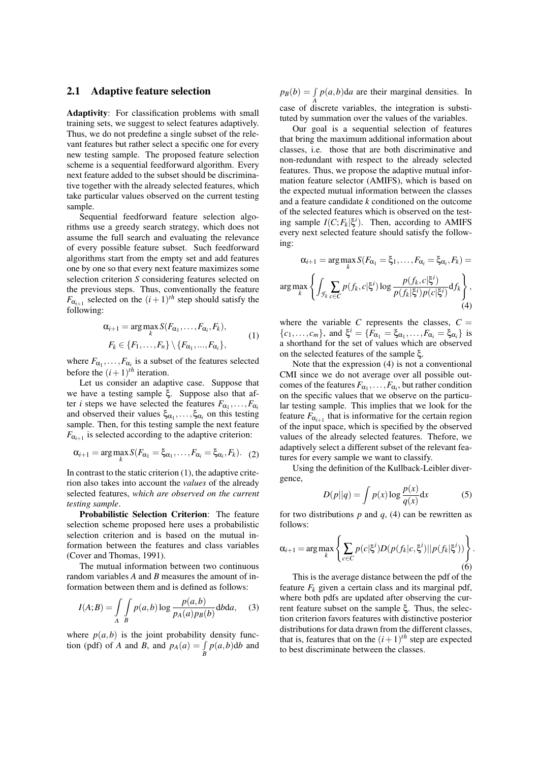#### 2.1 Adaptive feature selection

Adaptivity: For classification problems with small training sets, we suggest to select features adaptively. Thus, we do not predefine a single subset of the relevant features but rather select a specific one for every new testing sample. The proposed feature selection scheme is a sequential feedforward algorithm. Every next feature added to the subset should be discriminative together with the already selected features, which take particular values observed on the current testing sample.

Sequential feedforward feature selection algorithms use a greedy search strategy, which does not assume the full search and evaluating the relevance of every possible feature subset. Such feedforward algorithms start from the empty set and add features one by one so that every next feature maximizes some selection criterion *S* considering features selected on the previous steps. Thus, conventionally the feature  $F_{\alpha_{i+1}}$  selected on the  $(i+1)^{th}$  step should satisfy the following:

$$
\alpha_{i+1} = \underset{k}{\arg \max} S(F_{\alpha_1}, \ldots, F_{\alpha_i}, F_k),
$$
  

$$
F_k \in \{F_1, \ldots, F_n\} \setminus \{F_{\alpha_1}, \ldots, F_{\alpha_i}\},
$$
 (1)

where  $F_{\alpha_1}, \ldots, F_{\alpha_i}$  is a subset of the features selected before the  $(i+1)$ <sup>th</sup> iteration.

Let us consider an adaptive case. Suppose that we have a testing sample ξ. Suppose also that after *i* steps we have selected the features  $F_{\alpha_1}, \ldots, F_{\alpha_i}$ and observed their values  $\xi_{\alpha_1}, \dots, \xi_{\alpha_i}$  on this testing sample. Then, for this testing sample the next feature  $F_{\alpha_{i+1}}$  is selected according to the adaptive criterion:

$$
\alpha_{i+1} = \arg \max_{k} S(F_{\alpha_1} = \xi_{\alpha_1}, \ldots, F_{\alpha_i} = \xi_{\alpha_i}, F_k). \quad (2)
$$

In contrast to the static criterion (1), the adaptive criterion also takes into account the *values* of the already selected features, *which are observed on the current testing sample*.

Probabilistic Selection Criterion: The feature selection scheme proposed here uses a probabilistic selection criterion and is based on the mutual information between the features and class variables (Cover and Thomas, 1991).

The mutual information between two continuous random variables *A* and *B* measures the amount of information between them and is defined as follows:

$$
I(A;B) = \int\limits_A \int\limits_B p(a,b) \log \frac{p(a,b)}{p_A(a)p_B(b)} \, dbda, \quad (3)
$$

where  $p(a,b)$  is the joint probability density function (pdf) of *A* and *B*, and  $p_A(a) = \int_B$ *p*(*a*,*b*)d*b* and

 $p_B(b) = \int p(a, b) da$  are their marginal densities. In *A* case of discrete variables, the integration is substituted by summation over the values of the variables.

Our goal is a sequential selection of features that bring the maximum additional information about classes, i.e. those that are both discriminative and non-redundant with respect to the already selected features. Thus, we propose the adaptive mutual information feature selector (AMIFS), which is based on the expected mutual information between the classes and a feature candidate *k* conditioned on the outcome of the selected features which is observed on the testing sample  $I(C; F_k | \xi^i)$ . Then, according to AMIFS every next selected feature should satisfy the following:

$$
\alpha_{i+1} = \arg \max_{k} S(F_{\alpha_1} = \xi_1, \dots, F_{\alpha_i} = \xi_{\alpha_i}, F_k) =
$$
  
arg max 
$$
\left\{ \int_{\mathcal{F}_k} \sum_{c \in C} p(f_k, c | \xi^i) \log \frac{p(f_k, c | \xi^i)}{p(f_k | \xi^i) p(c | \xi^i)} df_k \right\},
$$
(4)

where the variable  $C$  represents the classes,  $C =$  $\{c_1,\ldots,c_m\}$ , and  $\xi^i = \{F_{\alpha_1} = \xi_{\alpha_1},\ldots,F_{\alpha_i} = \xi_{\alpha_i}\}\$ is a shorthand for the set of values which are observed on the selected features of the sample ξ.

Note that the expression (4) is not a conventional CMI since we do not average over all possible outcomes of the features  $F_{\alpha_1}, \ldots, F_{\alpha_i}$ , but rather condition on the specific values that we observe on the particular testing sample. This implies that we look for the feature  $F_{\alpha_{i+1}}$  that is informative for the certain region of the input space, which is specified by the observed values of the already selected features. Thefore, we adaptively select a different subset of the relevant features for every sample we want to classify.

Using the definition of the Kullback-Leibler divergence,

$$
D(p||q) = \int p(x) \log \frac{p(x)}{q(x)} dx
$$
 (5)

for two distributions  $p$  and  $q$ , (4) can be rewritten as follows:

$$
\alpha_{i+1} = \arg \max_{k} \left\{ \sum_{c \in C} p(c|\xi^{i}) D(p(f_k|c, \xi^{i}) || p(f_k|\xi^{i})) \right\}.
$$
\n(6)

This is the average distance between the pdf of the feature  $F_k$  given a certain class and its marginal pdf, where both pdfs are updated after observing the current feature subset on the sample ξ. Thus, the selection criterion favors features with distinctive posterior distributions for data drawn from the different classes, that is, features that on the  $(i+1)$ <sup>th</sup> step are expected to best discriminate between the classes.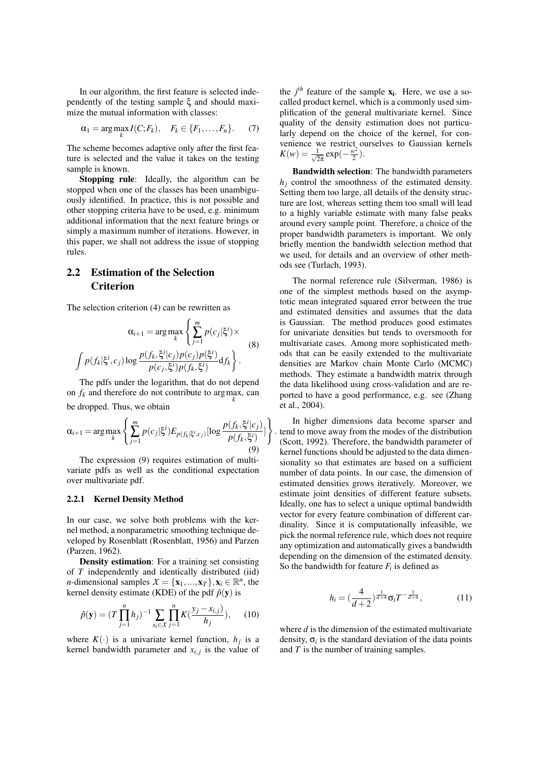In our algorithm, the first feature is selected independently of the testing sample ξ and should maximize the mutual information with classes:

$$
\alpha_1 = \arg \max_k I(C; F_k), \quad F_k \in \{F_1, \ldots, F_n\}.
$$
 (7)

The scheme becomes adaptive only after the first feature is selected and the value it takes on the testing sample is known.

Stopping rule: Ideally, the algorithm can be stopped when one of the classes has been unambiguously identified. In practice, this is not possible and other stopping criteria have to be used, e.g. minimum additional information that the next feature brings or simply a maximum number of iterations. However, in this paper, we shall not address the issue of stopping rules.

# 2.2 Estimation of the Selection **Criterion**

The selection criterion (4) can be rewritten as

$$
\alpha_{i+1} = \arg \max_{k} \left\{ \sum_{j=1}^{m} p(c_j | \xi^i) \times \int p(f_k | \xi^i, c_j) \log \frac{p(f_k, \xi^i | c_j) p(c_j) p(\xi^i)}{p(c_j, \xi^i) p(f_k, \xi^i)} df_k \right\}.
$$
\n(8)

The pdfs under the logarithm, that do not depend on  $f_k$  and therefore do not contribute to argmax, can *k* be dropped. Thus, we obtain

$$
\alpha_{i+1} = \arg \max_{k} \left\{ \sum_{j=1}^{m} p(c_j | \xi^i) E_{p(f_k | \xi^i, c_j)} [\log \frac{p(f_k, \xi^i | c_j)}{p(f_k, \xi^i)}] \right\}
$$
(9)

.

The expression (9) requires estimation of multivariate pdfs as well as the conditional expectation over multivariate pdf.

#### 2.2.1 Kernel Density Method

In our case, we solve both problems with the kernel method, a nonparametric smoothing technique developed by Rosenblatt (Rosenblatt, 1956) and Parzen (Parzen, 1962).

Density estimation: For a training set consisting of *T* independently and identically distributed (iid) *n*-dimensional samples  $X = {\mathbf{x}_1, ..., \mathbf{x}_T}$ ,  $\mathbf{x}_i \in \mathbb{R}^n$ , the kernel density estimate (KDE) of the pdf  $\hat{p}(\mathbf{y})$  is

$$
\hat{p}(\mathbf{y}) = (T \prod_{j=1}^{n} h_j)^{-1} \sum_{x_i \in X} \prod_{j=1}^{n} K(\frac{y_j - x_{i,j})}{h_j}), \quad (10)
$$

where  $K(\cdot)$  is a univariate kernel function,  $h_j$  is a kernel bandwidth parameter and  $x_{i,j}$  is the value of

the  $j<sup>th</sup>$  feature of the sample  $\mathbf{x}_i$ . Here, we use a socalled product kernel, which is a commonly used simplification of the general multivariate kernel. Since quality of the density estimation does not particularly depend on the choice of the kernel, for convenience we restrict ourselves to Gaussian kernels  $K(w) = \frac{1}{\sqrt{2}}$  $\frac{1}{2\pi}$ exp( $-\frac{w^2}{2}$  $\frac{\sqrt{v}}{2}$ ).

Bandwidth selection: The bandwidth parameters  $h_j$  control the smoothness of the estimated density. Setting them too large, all details of the density structure are lost, whereas setting them too small will lead to a highly variable estimate with many false peaks around every sample point. Therefore, a choice of the proper bandwidth parameters is important. We only briefly mention the bandwidth selection method that we used, for details and an overview of other methods see (Turlach, 1993).

The normal reference rule (Silverman, 1986) is one of the simplest methods based on the asymptotic mean integrated squared error between the true and estimated densities and assumes that the data is Gaussian. The method produces good estimates for univariate densities but tends to oversmooth for multivariate cases. Among more sophisticated methods that can be easily extended to the multivariate densities are Markov chain Monte Carlo (MCMC) methods. They estimate a bandwidth matrix through the data likelihood using cross-validation and are reported to have a good performance, e.g. see (Zhang et al., 2004).

In higher dimensions data become sparser and tend to move away from the modes of the distribution (Scott, 1992). Therefore, the bandwidth parameter of kernel functions should be adjusted to the data dimensionality so that estimates are based on a sufficient number of data points. In our case, the dimension of estimated densities grows iteratively. Moreover, we estimate joint densities of different feature subsets. Ideally, one has to select a unique optimal bandwidth vector for every feature combination of different cardinality. Since it is computationally infeasible, we pick the normal reference rule, which does not require any optimization and automatically gives a bandwidth depending on the dimension of the estimated density. So the bandwidth for feature  $F_i$  is defined as

$$
h_i = \left(\frac{4}{d+2}\right)^{\frac{1}{d+4}} \sigma_i T^{-\frac{1}{d+4}},\tag{11}
$$

where *d* is the dimension of the estimated multivariate density,  $\sigma_i$  is the standard deviation of the data points and *T* is the number of training samples.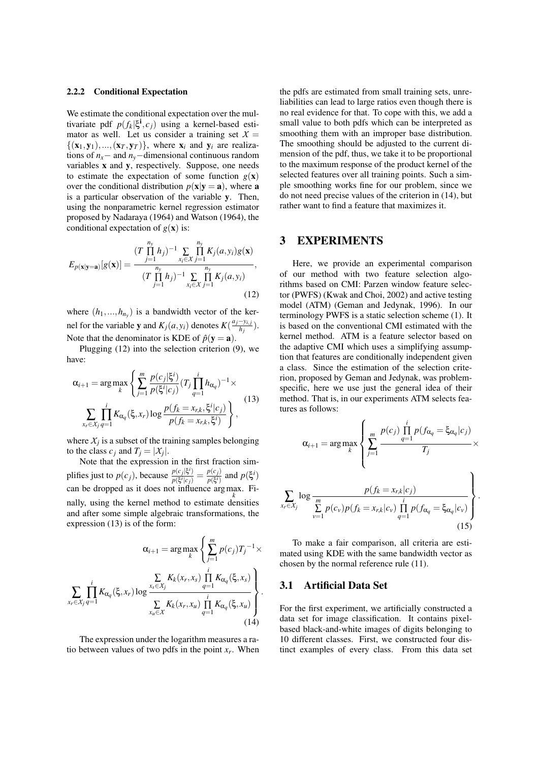#### 2.2.2 Conditional Expectation

We estimate the conditional expectation over the multivariate pdf  $p(f_k|\xi^i,c_j)$  using a kernel-based estimator as well. Let us consider a training set  $X =$  $\{(\mathbf{x}_1,\mathbf{y}_1),...,\allowbreak(\mathbf{x}_T,\mathbf{y}_T)\}\text{, where } \mathbf{x}_i \text{ and } \mathbf{y}_i \text{ are realiza-}$ tions of *nx*− and *ny*−dimensional continuous random variables x and y, respectively. Suppose, one needs to estimate the expectation of some function  $g(\mathbf{x})$ over the conditional distribution  $p(x|y = a)$ , where a is a particular observation of the variable y. Then, using the nonparametric kernel regression estimator proposed by Nadaraya (1964) and Watson (1964), the conditional expectation of  $g(\mathbf{x})$  is:

$$
E_{p(\mathbf{x}|\mathbf{y}=\mathbf{a})}[g(\mathbf{x})] = \frac{(T \prod_{j=1}^{n_y} h_j)^{-1} \sum_{x_i \in X} \prod_{j=1}^{n_y} K_j(a, y_i) g(\mathbf{x})}{(T \prod_{j=1}^{n_y} h_j)^{-1} \sum_{x_i \in X} \prod_{j=1}^{n_y} K_j(a, y_i)},
$$
\n(12)

where  $(h_1, ..., h_{n_y})$  is a bandwidth vector of the kernel for the variable **y** and  $K_j(a, y_i)$  denotes  $K\left(\frac{a_j - y_{i,j}}{h_i}\right)$  $\frac{-y_{i,j}}{h_j}$ ). Note that the denominator is KDE of  $\hat{p}(\mathbf{y} = \mathbf{a})$ .

Plugging (12) into the selection criterion (9), we have:

$$
\alpha_{i+1} = \arg \max_{k} \left\{ \sum_{j=1}^{m} \frac{p(c_j|\xi^i)}{p(\xi^i|c_j)} (T_j \prod_{q=1}^{i} h_{\alpha_q})^{-1} \times \sum_{x_r \in X_j} \prod_{q=1}^{i} K_{\alpha_q}(\xi, x_r) \log \frac{p(f_k = x_{r,k}, \xi^i|c_j)}{p(f_k = x_{r,k}, \xi^i)} \right\},
$$
\n(13)

where  $X_j$  is a subset of the training samples belonging to the class  $c_j$  and  $T_j = |\mathcal{X}_j|$ .

Note that the expression in the first fraction simplifies just to  $p(c_j)$ , because  $\frac{p(c_j|\xi^i)}{p(\xi^i|c_j)}$  $\frac{p(c_j|\xi^i)}{p(\xi^i|c_j)} = \frac{p(c_j)}{p(\xi^i)}$  $\frac{p(c_j)}{p(\xi^i)}$  and  $p(\xi^i)$ can be dropped as it does not influence argmax *k* . Finally, using the kernel method to estimate densities and after some simple algebraic transformations, the expression (13) is of the form:

$$
\alpha_{i+1} = \arg \max_{k} \left\{ \sum_{j=1}^{m} p(c_j) T_j^{-1} \times \sum_{x_r \in X_j} K_{\alpha_q}(\xi, x_r) \log \frac{\sum\limits_{x_s \in X_j} K_k(x_r, x_s) \prod\limits_{q=1}^i K_{\alpha_q}(\xi, x_s)}{\sum\limits_{x_u \in X} K_k(x_r, x_u) \prod\limits_{q=1}^i K_{\alpha_q}(\xi, x_u)} \right\}.
$$
\n(14)

The expression under the logarithm measures a ratio between values of two pdfs in the point  $x_r$ . When

the pdfs are estimated from small training sets, unreliabilities can lead to large ratios even though there is no real evidence for that. To cope with this, we add a small value to both pdfs which can be interpreted as smoothing them with an improper base distribution. The smoothing should be adjusted to the current dimension of the pdf, thus, we take it to be proportional to the maximum response of the product kernel of the selected features over all training points. Such a simple smoothing works fine for our problem, since we do not need precise values of the criterion in (14), but rather want to find a feature that maximizes it.

#### 3 EXPERIMENTS

Here, we provide an experimental comparison of our method with two feature selection algorithms based on CMI: Parzen window feature selector (PWFS) (Kwak and Choi, 2002) and active testing model (ATM) (Geman and Jedynak, 1996). In our terminology PWFS is a static selection scheme (1). It is based on the conventional CMI estimated with the kernel method. ATM is a feature selector based on the adaptive CMI which uses a simplifying assumption that features are conditionally independent given a class. Since the estimation of the selection criterion, proposed by Geman and Jedynak, was problemspecific, here we use just the general idea of their method. That is, in our experiments ATM selects features as follows:

$$
\alpha_{i+1} = \arg \max_{k} \left\{ \sum_{j=1}^{m} \frac{p(c_j) \prod_{q=1}^{i} p(f_{\alpha_q} = \xi_{\alpha_q}|c_j)}{T_j} \times \sum_{x_r \in X_j} \log \frac{p(f_k = x_{r,k}|c_j)}{\sum_{v=1}^{m} p(c_v) p(f_k = x_{r,k}|c_v) \prod_{q=1}^{i} p(f_{\alpha_q} = \xi_{\alpha_q}|c_v)} \right\}.
$$
\n(15)

To make a fair comparison, all criteria are estimated using KDE with the same bandwidth vector as chosen by the normal reference rule (11).

#### 3.1 Artificial Data Set

For the first experiment, we artificially constructed a data set for image classification. It contains pixelbased black-and-white images of digits belonging to 10 different classes. First, we constructed four distinct examples of every class. From this data set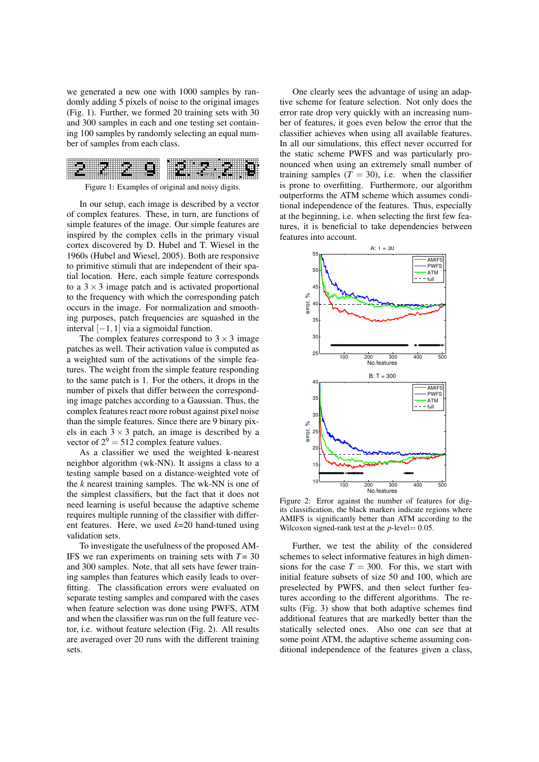we generated a new one with 1000 samples by randomly adding 5 pixels of noise to the original images (Fig. 1). Further, we formed 20 training sets with 30 and 300 samples in each and one testing set containing 100 samples by randomly selecting an equal number of samples from each class.



Figure 1: Examples of original and noisy digits.

In our setup, each image is described by a vector of complex features. These, in turn, are functions of simple features of the image. Our simple features are inspired by the complex cells in the primary visual cortex discovered by D. Hubel and T. Wiesel in the 1960s (Hubel and Wiesel, 2005). Both are responsive to primitive stimuli that are independent of their spatial location. Here, each simple feature corresponds to a  $3 \times 3$  image patch and is activated proportional to the frequency with which the corresponding patch occurs in the image. For normalization and smoothing purposes, patch frequencies are squashed in the interval  $[-1,1]$  via a sigmoidal function.

The complex features correspond to  $3 \times 3$  image patches as well. Their activation value is computed as a weighted sum of the activations of the simple features. The weight from the simple feature responding to the same patch is 1. For the others, it drops in the number of pixels that differ between the corresponding image patches according to a Gaussian. Thus, the complex features react more robust against pixel noise than the simple features. Since there are 9 binary pixels in each  $3 \times 3$  patch, an image is described by a vector of  $2^9 = 512$  complex feature values.

As a classifier we used the weighted k-nearest neighbor algorithm (wk-NN). It assigns a class to a testing sample based on a distance-weighted vote of the *k* nearest training samples. The wk-NN is one of the simplest classifiers, but the fact that it does not need learning is useful because the adaptive scheme requires multiple running of the classifier with different features. Here, we used *k*=20 hand-tuned using validation sets.

To investigate the usefulness of the proposed AM-IFS we ran experiments on training sets with *T*= 30 and 300 samples. Note, that all sets have fewer training samples than features which easily leads to overfitting. The classification errors were evaluated on separate testing samples and compared with the cases when feature selection was done using PWFS, ATM and when the classifier was run on the full feature vector, i.e. without feature selection (Fig. 2). All results are averaged over 20 runs with the different training sets.

One clearly sees the advantage of using an adaptive scheme for feature selection. Not only does the error rate drop very quickly with an increasing number of features, it goes even below the error that the classifier achieves when using all available features. In all our simulations, this effect never occurred for the static scheme PWFS and was particularly pronounced when using an extremely small number of training samples  $(T = 30)$ , i.e. when the classifier is prone to overfitting. Furthermore, our algorithm outperforms the ATM scheme which assumes conditional independence of the features. Thus, especially at the beginning, i.e. when selecting the first few features, it is beneficial to take dependencies between features into account.



Figure 2: Error against the number of features for digits classification, the black markers indicate regions where AMIFS is significantly better than ATM according to the Wilcoxon signed-rank test at the  $p$ -level= 0.05.

Further, we test the ability of the considered schemes to select informative features in high dimensions for the case  $T = 300$ . For this, we start with initial feature subsets of size 50 and 100, which are preselected by PWFS, and then select further features according to the different algorithms. The results (Fig. 3) show that both adaptive schemes find additional features that are markedly better than the statically selected ones. Also one can see that at some point ATM, the adaptive scheme assuming conditional independence of the features given a class,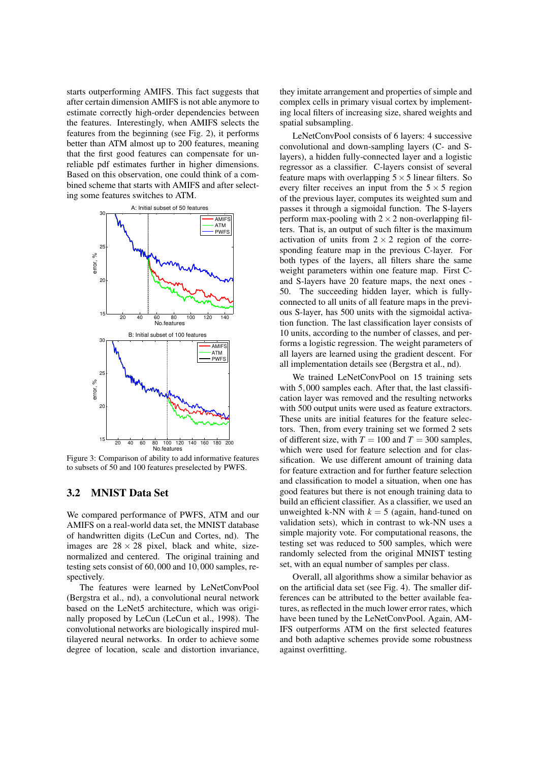starts outperforming AMIFS. This fact suggests that after certain dimension AMIFS is not able anymore to estimate correctly high-order dependencies between the features. Interestingly, when AMIFS selects the features from the beginning (see Fig. 2), it performs better than ATM almost up to 200 features, meaning that the first good features can compensate for unreliable pdf estimates further in higher dimensions. Based on this observation, one could think of a combined scheme that starts with AMIFS and after selecting some features switches to ATM.



Figure 3: Comparison of ability to add informative features to subsets of 50 and 100 features preselected by PWFS.

### 3.2 MNIST Data Set

We compared performance of PWFS, ATM and our AMIFS on a real-world data set, the MNIST database of handwritten digits (LeCun and Cortes, nd). The images are  $28 \times 28$  pixel, black and white, sizenormalized and centered. The original training and testing sets consist of 60,000 and 10,000 samples, respectively.

The features were learned by LeNetConvPool (Bergstra et al., nd), a convolutional neural network based on the LeNet5 architecture, which was originally proposed by LeCun (LeCun et al., 1998). The convolutional networks are biologically inspired multilayered neural networks. In order to achieve some degree of location, scale and distortion invariance,

they imitate arrangement and properties of simple and complex cells in primary visual cortex by implementing local filters of increasing size, shared weights and spatial subsampling.

LeNetConvPool consists of 6 layers: 4 successive convolutional and down-sampling layers (C- and Slayers), a hidden fully-connected layer and a logistic regressor as a classifier. C-layers consist of several feature maps with overlapping  $5 \times 5$  linear filters. So every filter receives an input from the  $5 \times 5$  region of the previous layer, computes its weighted sum and passes it through a sigmoidal function. The S-layers perform max-pooling with  $2 \times 2$  non-overlapping filters. That is, an output of such filter is the maximum activation of units from  $2 \times 2$  region of the corresponding feature map in the previous C-layer. For both types of the layers, all filters share the same weight parameters within one feature map. First Cand S-layers have 20 feature maps, the next ones - 50. The succeeding hidden layer, which is fullyconnected to all units of all feature maps in the previous S-layer, has 500 units with the sigmoidal activation function. The last classification layer consists of 10 units, according to the number of classes, and performs a logistic regression. The weight parameters of all layers are learned using the gradient descent. For all implementation details see (Bergstra et al., nd).

We trained LeNetConvPool on 15 training sets with 5,000 samples each. After that, the last classification layer was removed and the resulting networks with 500 output units were used as feature extractors. These units are initial features for the feature selectors. Then, from every training set we formed 2 sets of different size, with  $T = 100$  and  $T = 300$  samples, which were used for feature selection and for classification. We use different amount of training data for feature extraction and for further feature selection and classification to model a situation, when one has good features but there is not enough training data to build an efficient classifier. As a classifier, we used an unweighted k-NN with  $k = 5$  (again, hand-tuned on validation sets), which in contrast to wk-NN uses a simple majority vote. For computational reasons, the testing set was reduced to 500 samples, which were randomly selected from the original MNIST testing set, with an equal number of samples per class.

Overall, all algorithms show a similar behavior as on the artificial data set (see Fig. 4). The smaller differences can be attributed to the better available features, as reflected in the much lower error rates, which have been tuned by the LeNetConvPool. Again, AM-IFS outperforms ATM on the first selected features and both adaptive schemes provide some robustness against overfitting.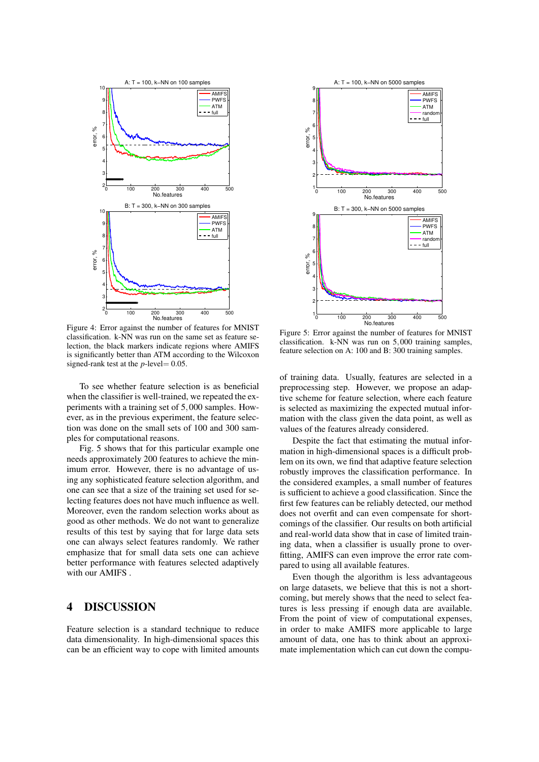

Figure 4: Error against the number of features for MNIST classification. k-NN was run on the same set as feature selection, the black markers indicate regions where AMIFS is significantly better than ATM according to the Wilcoxon signed-rank test at the *p*-level= 0.05.

To see whether feature selection is as beneficial when the classifier is well-trained, we repeated the experiments with a training set of 5,000 samples. However, as in the previous experiment, the feature selection was done on the small sets of 100 and 300 samples for computational reasons.

Fig. 5 shows that for this particular example one needs approximately 200 features to achieve the minimum error. However, there is no advantage of using any sophisticated feature selection algorithm, and one can see that a size of the training set used for selecting features does not have much influence as well. Moreover, even the random selection works about as good as other methods. We do not want to generalize results of this test by saying that for large data sets one can always select features randomly. We rather emphasize that for small data sets one can achieve better performance with features selected adaptively with our AMIFS .

#### 4 DISCUSSION

Feature selection is a standard technique to reduce data dimensionality. In high-dimensional spaces this can be an efficient way to cope with limited amounts



Figure 5: Error against the number of features for MNIST classification. k-NN was run on 5,000 training samples, feature selection on A: 100 and B: 300 training samples.

of training data. Usually, features are selected in a preprocessing step. However, we propose an adaptive scheme for feature selection, where each feature is selected as maximizing the expected mutual information with the class given the data point, as well as values of the features already considered.

Despite the fact that estimating the mutual information in high-dimensional spaces is a difficult problem on its own, we find that adaptive feature selection robustly improves the classification performance. In the considered examples, a small number of features is sufficient to achieve a good classification. Since the first few features can be reliably detected, our method does not overfit and can even compensate for shortcomings of the classifier. Our results on both artificial and real-world data show that in case of limited training data, when a classifier is usually prone to overfitting, AMIFS can even improve the error rate compared to using all available features.

Even though the algorithm is less advantageous on large datasets, we believe that this is not a shortcoming, but merely shows that the need to select features is less pressing if enough data are available. From the point of view of computational expenses, in order to make AMIFS more applicable to large amount of data, one has to think about an approximate implementation which can cut down the compu